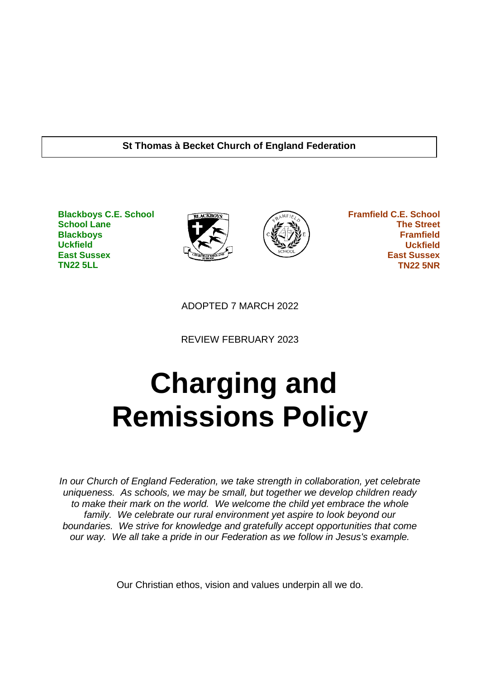## **St Thomas à Becket Church of England Federation**

**Blackboys C.E. School School Lane Blackboys Uckfield East Sussex TN22 5LL**





 **Framfield C.E. School The Street Framfield Uckfield East Sussex TN22 5NR**

ADOPTED 7 MARCH 2022

REVIEW FEBRUARY 2023

# **Charging and Remissions Policy**

*In our Church of England Federation, we take strength in collaboration, yet celebrate uniqueness. As schools, we may be small, but together we develop children ready to make their mark on the world. We welcome the child yet embrace the whole family. We celebrate our rural environment yet aspire to look beyond our boundaries. We strive for knowledge and gratefully accept opportunities that come our way. We all take a pride in our Federation as we follow in Jesus's example.*

Our Christian ethos, vision and values underpin all we do.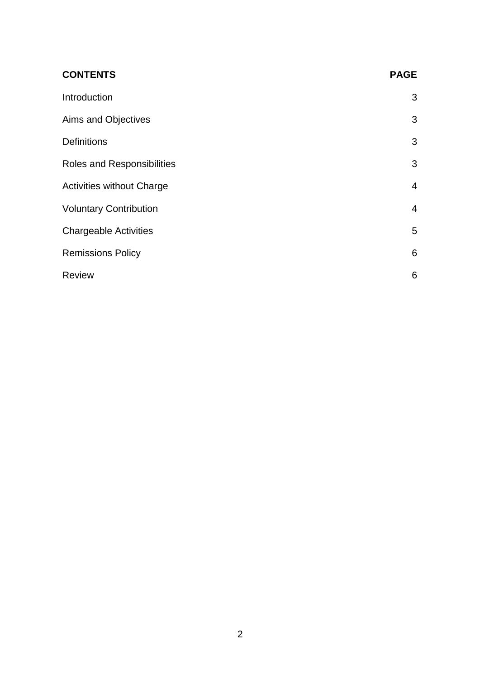| <b>CONTENTS</b>                  | <b>PAGE</b>    |
|----------------------------------|----------------|
| Introduction                     | 3              |
| Aims and Objectives              | 3              |
| <b>Definitions</b>               | 3              |
| Roles and Responsibilities       | 3              |
| <b>Activities without Charge</b> | 4              |
| <b>Voluntary Contribution</b>    | $\overline{4}$ |
| <b>Chargeable Activities</b>     | 5              |
| <b>Remissions Policy</b>         | 6              |
| <b>Review</b>                    | 6              |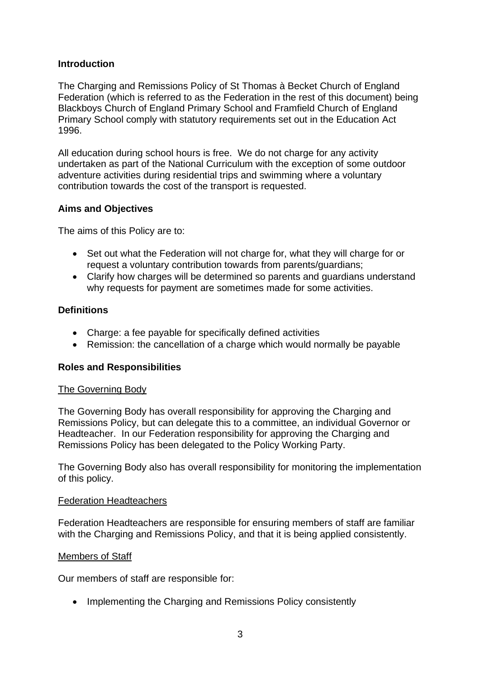## **Introduction**

The Charging and Remissions Policy of St Thomas à Becket Church of England Federation (which is referred to as the Federation in the rest of this document) being Blackboys Church of England Primary School and Framfield Church of England Primary School comply with statutory requirements set out in the Education Act 1996.

All education during school hours is free. We do not charge for any activity undertaken as part of the National Curriculum with the exception of some outdoor adventure activities during residential trips and swimming where a voluntary contribution towards the cost of the transport is requested.

## **Aims and Objectives**

The aims of this Policy are to:

- Set out what the Federation will not charge for, what they will charge for or request a voluntary contribution towards from parents/guardians;
- Clarify how charges will be determined so parents and guardians understand why requests for payment are sometimes made for some activities.

## **Definitions**

- Charge: a fee payable for specifically defined activities
- Remission: the cancellation of a charge which would normally be payable

### **Roles and Responsibilities**

### The Governing Body

The Governing Body has overall responsibility for approving the Charging and Remissions Policy, but can delegate this to a committee, an individual Governor or Headteacher. In our Federation responsibility for approving the Charging and Remissions Policy has been delegated to the Policy Working Party.

The Governing Body also has overall responsibility for monitoring the implementation of this policy.

### Federation Headteachers

Federation Headteachers are responsible for ensuring members of staff are familiar with the Charging and Remissions Policy, and that it is being applied consistently.

### Members of Staff

Our members of staff are responsible for:

• Implementing the Charging and Remissions Policy consistently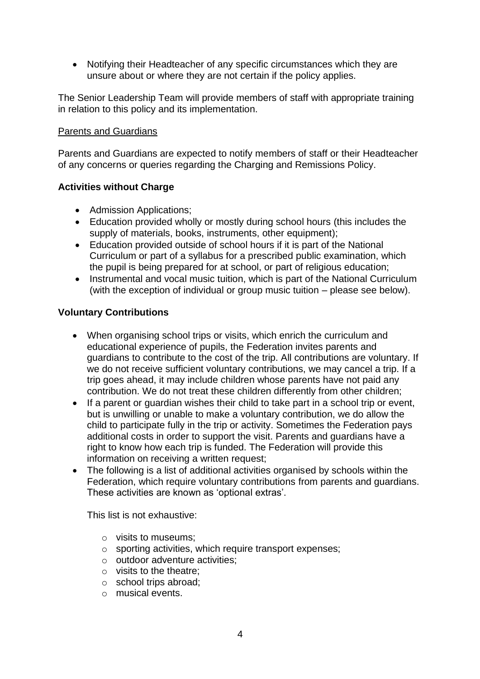• Notifying their Headteacher of any specific circumstances which they are unsure about or where they are not certain if the policy applies.

The Senior Leadership Team will provide members of staff with appropriate training in relation to this policy and its implementation.

## Parents and Guardians

Parents and Guardians are expected to notify members of staff or their Headteacher of any concerns or queries regarding the Charging and Remissions Policy.

## **Activities without Charge**

- Admission Applications;
- Education provided wholly or mostly during school hours (this includes the supply of materials, books, instruments, other equipment);
- Education provided outside of school hours if it is part of the National Curriculum or part of a syllabus for a prescribed public examination, which the pupil is being prepared for at school, or part of religious education;
- Instrumental and vocal music tuition, which is part of the National Curriculum (with the exception of individual or group music tuition – please see below).

## **Voluntary Contributions**

- When organising school trips or visits, which enrich the curriculum and educational experience of pupils, the Federation invites parents and guardians to contribute to the cost of the trip. All contributions are voluntary. If we do not receive sufficient voluntary contributions, we may cancel a trip. If a trip goes ahead, it may include children whose parents have not paid any contribution. We do not treat these children differently from other children;
- If a parent or guardian wishes their child to take part in a school trip or event, but is unwilling or unable to make a voluntary contribution, we do allow the child to participate fully in the trip or activity. Sometimes the Federation pays additional costs in order to support the visit. Parents and guardians have a right to know how each trip is funded. The Federation will provide this information on receiving a written request;
- The following is a list of additional activities organised by schools within the Federation, which require voluntary contributions from parents and guardians. These activities are known as 'optional extras'.

This list is not exhaustive:

- o visits to museums;
- o sporting activities, which require transport expenses;
- o outdoor adventure activities;
- o visits to the theatre;
- o school trips abroad;
- o musical events.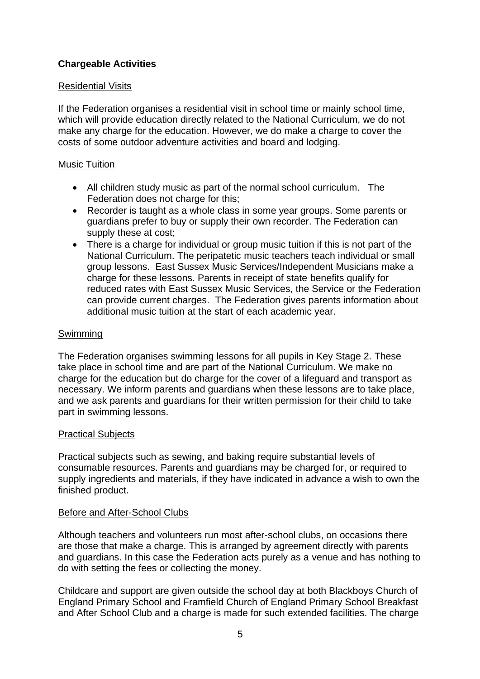## **Chargeable Activities**

### Residential Visits

If the Federation organises a residential visit in school time or mainly school time, which will provide education directly related to the National Curriculum, we do not make any charge for the education. However, we do make a charge to cover the costs of some outdoor adventure activities and board and lodging.

## Music Tuition

- All children study music as part of the normal school curriculum. The Federation does not charge for this;
- Recorder is taught as a whole class in some year groups. Some parents or guardians prefer to buy or supply their own recorder. The Federation can supply these at cost;
- There is a charge for individual or group music tuition if this is not part of the National Curriculum. The peripatetic music teachers teach individual or small group lessons. East Sussex Music Services/Independent Musicians make a charge for these lessons. Parents in receipt of state benefits qualify for reduced rates with East Sussex Music Services, the Service or the Federation can provide current charges. The Federation gives parents information about additional music tuition at the start of each academic year.

## Swimming

The Federation organises swimming lessons for all pupils in Key Stage 2. These take place in school time and are part of the National Curriculum. We make no charge for the education but do charge for the cover of a lifeguard and transport as necessary. We inform parents and guardians when these lessons are to take place, and we ask parents and guardians for their written permission for their child to take part in swimming lessons.

### Practical Subjects

Practical subjects such as sewing, and baking require substantial levels of consumable resources. Parents and guardians may be charged for, or required to supply ingredients and materials, if they have indicated in advance a wish to own the finished product.

### Before and After-School Clubs

Although teachers and volunteers run most after-school clubs, on occasions there are those that make a charge. This is arranged by agreement directly with parents and guardians. In this case the Federation acts purely as a venue and has nothing to do with setting the fees or collecting the money.

Childcare and support are given outside the school day at both Blackboys Church of England Primary School and Framfield Church of England Primary School Breakfast and After School Club and a charge is made for such extended facilities. The charge